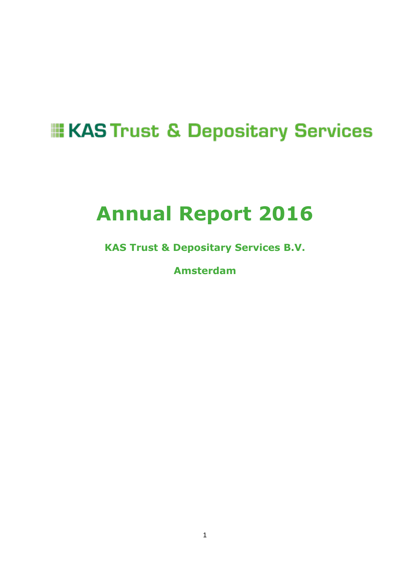# **EXAS Trust & Depositary Services**

# **Annual Report 2016**

**KAS Trust & Depositary Services B.V.** 

**Amsterdam**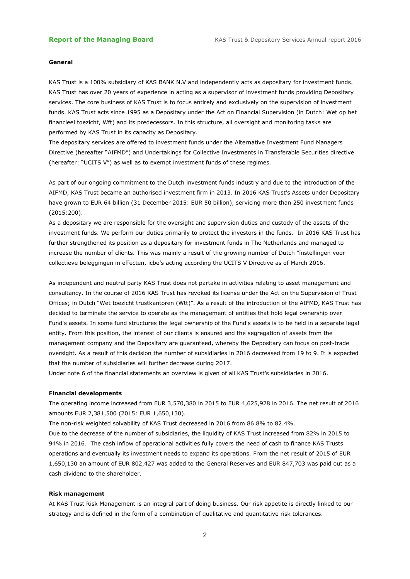#### **General**

KAS Trust is a 100% subsidiary of KAS BANK N.V and independently acts as depositary for investment funds. KAS Trust has over 20 years of experience in acting as a supervisor of investment funds providing Depositary services. The core business of KAS Trust is to focus entirely and exclusively on the supervision of investment funds. KAS Trust acts since 1995 as a Depositary under the Act on Financial Supervision (in Dutch: Wet op het financieel toezicht, Wft) and its predecessors. In this structure, all oversight and monitoring tasks are performed by KAS Trust in its capacity as Depositary.

The depositary services are offered to investment funds under the Alternative Investment Fund Managers Directive (hereafter "AIFMD") and Undertakings for Collective Investments in Transferable Securities directive (hereafter: "UCITS V") as well as to exempt investment funds of these regimes.

As part of our ongoing commitment to the Dutch investment funds industry and due to the introduction of the AIFMD, KAS Trust became an authorised investment firm in 2013. In 2016 KAS Trust's Assets under Depositary have grown to EUR 64 billion (31 December 2015: EUR 50 billion), servicing more than 250 investment funds (2015:200).

As a depositary we are responsible for the oversight and supervision duties and custody of the assets of the investment funds. We perform our duties primarily to protect the investors in the funds. In 2016 KAS Trust has further strengthened its position as a depositary for investment funds in The Netherlands and managed to increase the number of clients. This was mainly a result of the growing number of Dutch "ïnstellingen voor collectieve beleggingen in effecten, icbe's acting according the UCITS V Directive as of March 2016.

As independent and neutral party KAS Trust does not partake in activities relating to asset management and consultancy. In the course of 2016 KAS Trust has revoked its license under the Act on the Supervision of Trust Offices; in Dutch "Wet toezicht trustkantoren (Wtt)". As a result of the introduction of the AIFMD, KAS Trust has decided to terminate the service to operate as the management of entities that hold legal ownership over Fund's assets. In some fund structures the legal ownership of the Fund's assets is to be held in a separate legal entity. From this position, the interest of our clients is ensured and the segregation of assets from the management company and the Depositary are guaranteed, whereby the Depositary can focus on post-trade oversight. As a result of this decision the number of subsidiaries in 2016 decreased from 19 to 9. It is expected that the number of subsidiaries will further decrease during 2017.

Under note 6 of the financial statements an overview is given of all KAS Trust's subsidiaries in 2016.

#### **Financial developments**

The operating income increased from EUR 3,570,380 in 2015 to EUR 4,625,928 in 2016. The net result of 2016 amounts EUR 2,381,500 (2015: EUR 1,650,130).

The non-risk weighted solvability of KAS Trust decreased in 2016 from 86.8% to 82.4%.

Due to the decrease of the number of subsidiaries, the liquidity of KAS Trust increased from 82% in 2015 to 94% in 2016. The cash inflow of operational activities fully covers the need of cash to finance KAS Trusts operations and eventually its investment needs to expand its operations. From the net result of 2015 of EUR 1,650,130 an amount of EUR 802,427 was added to the General Reserves and EUR 847,703 was paid out as a cash dividend to the shareholder.

#### **Risk management**

At KAS Trust Risk Management is an integral part of doing business. Our risk appetite is directly linked to our strategy and is defined in the form of a combination of qualitative and quantitative risk tolerances.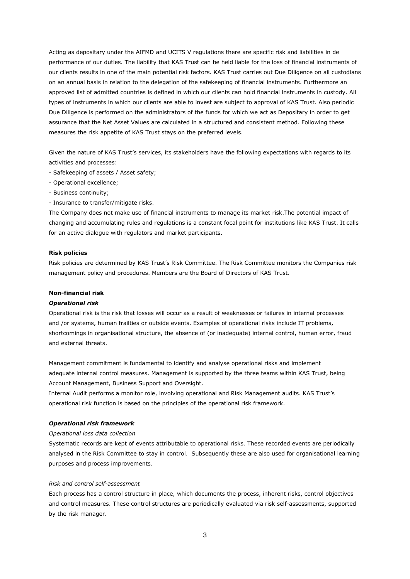Acting as depositary under the AIFMD and UCITS V regulations there are specific risk and liabilities in de performance of our duties. The liability that KAS Trust can be held liable for the loss of financial instruments of our clients results in one of the main potential risk factors. KAS Trust carries out Due Diligence on all custodians on an annual basis in relation to the delegation of the safekeeping of financial instruments. Furthermore an approved list of admitted countries is defined in which our clients can hold financial instruments in custody. All types of instruments in which our clients are able to invest are subject to approval of KAS Trust. Also periodic Due Diligence is performed on the administrators of the funds for which we act as Depositary in order to get assurance that the Net Asset Values are calculated in a structured and consistent method. Following these measures the risk appetite of KAS Trust stays on the preferred levels.

Given the nature of KAS Trust's services, its stakeholders have the following expectations with regards to its activities and processes:

- Safekeeping of assets / Asset safety;
- Operational excellence;
- Business continuity;
- Insurance to transfer/mitigate risks.

The Company does not make use of financial instruments to manage its market risk.The potential impact of changing and accumulating rules and regulations is a constant focal point for institutions like KAS Trust. It calls for an active dialogue with regulators and market participants.

#### **Risk policies**

Risk policies are determined by KAS Trust's Risk Committee. The Risk Committee monitors the Companies risk management policy and procedures. Members are the Board of Directors of KAS Trust.

#### **Non-financial risk**

#### *Operational risk*

Operational risk is the risk that losses will occur as a result of weaknesses or failures in internal processes and /or systems, human frailties or outside events. Examples of operational risks include IT problems, shortcomings in organisational structure, the absence of (or inadequate) internal control, human error, fraud and external threats.

Management commitment is fundamental to identify and analyse operational risks and implement adequate internal control measures. Management is supported by the three teams within KAS Trust, being Account Management, Business Support and Oversight.

Internal Audit performs a monitor role, involving operational and Risk Management audits. KAS Trust's operational risk function is based on the principles of the operational risk framework.

#### *Operational risk framework*

#### *Operational loss data collection*

Systematic records are kept of events attributable to operational risks. These recorded events are periodically analysed in the Risk Committee to stay in control. Subsequently these are also used for organisational learning purposes and process improvements.

#### *Risk and control self-assessment*

Each process has a control structure in place, which documents the process, inherent risks, control objectives and control measures. These control structures are periodically evaluated via risk self-assessments, supported by the risk manager.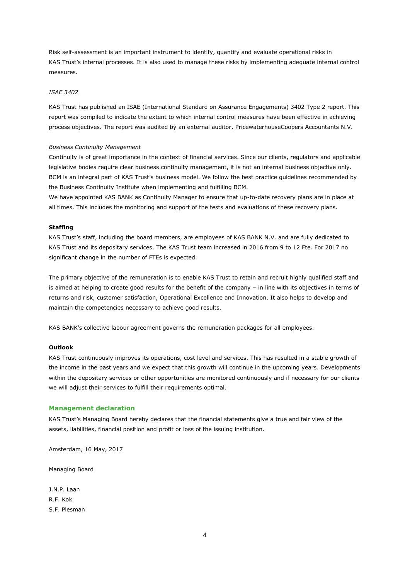Risk self-assessment is an important instrument to identify, quantify and evaluate operational risks in KAS Trust's internal processes. It is also used to manage these risks by implementing adequate internal control measures.

#### *ISAE 3402*

KAS Trust has published an ISAE (International Standard on Assurance Engagements) 3402 Type 2 report. This report was compiled to indicate the extent to which internal control measures have been effective in achieving process objectives. The report was audited by an external auditor, PricewaterhouseCoopers Accountants N.V.

#### *Business Continuity Management*

Continuity is of great importance in the context of financial services. Since our clients, regulators and applicable legislative bodies require clear business continuity management, it is not an internal business objective only. BCM is an integral part of KAS Trust's business model. We follow the best practice guidelines recommended by the Business Continuity Institute when implementing and fulfilling BCM.

We have appointed KAS BANK as Continuity Manager to ensure that up-to-date recovery plans are in place at all times. This includes the monitoring and support of the tests and evaluations of these recovery plans.

#### **Staffing**

KAS Trust's staff, including the board members, are employees of KAS BANK N.V. and are fully dedicated to KAS Trust and its depositary services. The KAS Trust team increased in 2016 from 9 to 12 Fte. For 2017 no significant change in the number of FTEs is expected.

The primary objective of the remuneration is to enable KAS Trust to retain and recruit highly qualified staff and is aimed at helping to create good results for the benefit of the company – in line with its objectives in terms of returns and risk, customer satisfaction, Operational Excellence and Innovation. It also helps to develop and maintain the competencies necessary to achieve good results.

KAS BANK's collective labour agreement governs the remuneration packages for all employees.

#### **Outlook**

KAS Trust continuously improves its operations, cost level and services. This has resulted in a stable growth of the income in the past years and we expect that this growth will continue in the upcoming years. Developments within the depositary services or other opportunities are monitored continuously and if necessary for our clients we will adjust their services to fulfill their requirements optimal.

#### **Management declaration**

KAS Trust's Managing Board hereby declares that the financial statements give a true and fair view of the assets, liabilities, financial position and profit or loss of the issuing institution.

Amsterdam, 16 May, 2017

Managing Board

J.N.P. Laan R.F. Kok S.F. Plesman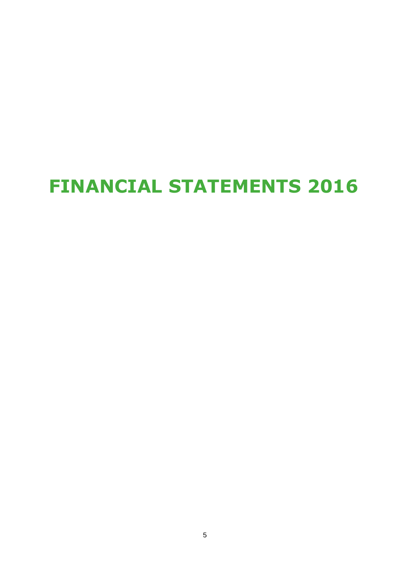# **FINANCIAL STATEMENTS 2016**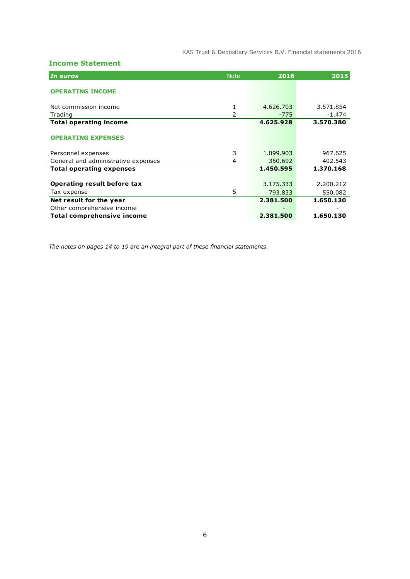KAS Trust & Depositary Services B.V. Financial statements 2016

### **Income Statement**

| In euros                            | <b>Note</b> | 2016      | 2015      |
|-------------------------------------|-------------|-----------|-----------|
| <b>OPERATING INCOME</b>             |             |           |           |
|                                     |             |           |           |
| Net commission income               | 1           | 4.626.703 | 3.571.854 |
| Trading                             | 2           | $-775$    | $-1.474$  |
| <b>Total operating income</b>       |             | 4.625.928 | 3.570.380 |
| <b>OPERATING EXPENSES</b>           |             |           |           |
| Personnel expenses                  | 3           | 1.099.903 | 967.625   |
| General and administrative expenses | 4           | 350.692   | 402.543   |
| <b>Total operating expenses</b>     |             | 1.450.595 | 1.370.168 |
| Operating result before tax         |             | 3.175.333 | 2.200.212 |
| Tax expense                         | 5           | 793.833   | 550.082   |
| Net result for the year             |             | 2.381.500 | 1.650.130 |
| Other comprehensive income          |             |           |           |
| <b>Total comprehensive income</b>   |             | 2.381.500 | 1.650.130 |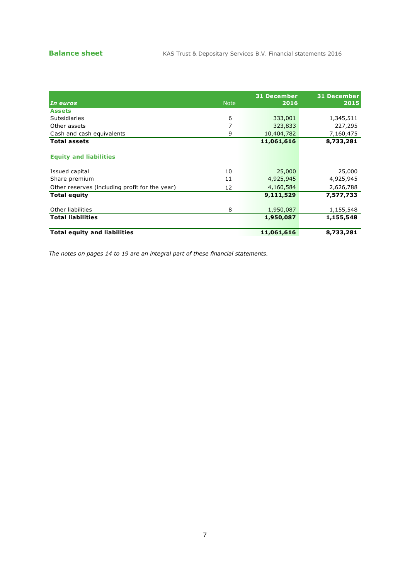|                                                |             | <b>31 December</b> | <b>31 December</b> |
|------------------------------------------------|-------------|--------------------|--------------------|
| In euros                                       | <b>Note</b> | 2016               | 2015               |
| <b>Assets</b>                                  |             |                    |                    |
| Subsidiaries                                   | 6           | 333,001            | 1,345,511          |
| Other assets                                   |             | 323,833            | 227,295            |
| Cash and cash equivalents                      | 9           | 10,404,782         | 7,160,475          |
| <b>Total assets</b>                            |             | 11,061,616         | 8,733,281          |
| <b>Equity and liabilities</b>                  |             |                    |                    |
| Issued capital                                 | 10          | 25,000             | 25,000             |
| Share premium                                  | 11          | 4,925,945          | 4,925,945          |
| Other reserves (including profit for the year) | 12          | 4,160,584          | 2,626,788          |
| Total equity                                   |             | 9,111,529          | 7,577,733          |
| Other liabilities                              | 8           | 1,950,087          | 1,155,548          |
| <b>Total liabilities</b>                       |             | 1,950,087          | 1,155,548          |
| <b>Total equity and liabilities</b>            |             | 11,061,616         | 8,733,281          |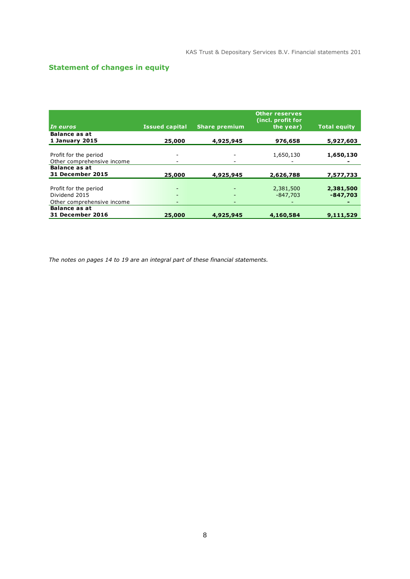## **Statement of changes in equity**

|                            |                       |                          | <b>Other reserves</b><br>(incl. profit for |                     |
|----------------------------|-----------------------|--------------------------|--------------------------------------------|---------------------|
| In euros                   | <b>Issued capital</b> | <b>Share premium</b>     | the year)                                  | <b>Total equity</b> |
| <b>Balance as at</b>       |                       |                          |                                            |                     |
| 1 January 2015             | 25,000                | 4,925,945                | 976,658                                    | 5,927,603           |
|                            |                       |                          |                                            |                     |
| Profit for the period      |                       |                          | 1,650,130                                  | 1,650,130           |
| Other comprehensive income |                       | $\overline{\phantom{a}}$ |                                            |                     |
| <b>Balance as at</b>       |                       |                          |                                            |                     |
| <b>31 December 2015</b>    | 25,000                | 4,925,945                | 2,626,788                                  | 7,577,733           |
|                            |                       |                          |                                            |                     |
| Profit for the period      |                       |                          | 2,381,500                                  | 2,381,500           |
| Dividend 2015              |                       | $\overline{\phantom{a}}$ | $-847.703$                                 | $-847,703$          |
| Other comprehensive income |                       | $\overline{\phantom{a}}$ |                                            |                     |
| <b>Balance as at</b>       |                       |                          |                                            |                     |
| <b>31 December 2016</b>    | 25,000                | 4,925,945                | 4,160,584                                  | 9,111,529           |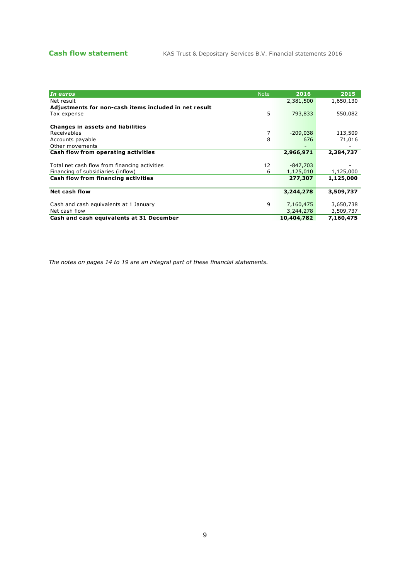| In euros                                              | <b>Note</b> | 2016       | 2015      |
|-------------------------------------------------------|-------------|------------|-----------|
| Net result                                            |             | 2,381,500  | 1,650,130 |
| Adjustments for non-cash items included in net result |             |            |           |
| Tax expense                                           | 5           | 793,833    | 550,082   |
|                                                       |             |            |           |
| <b>Changes in assets and liabilities</b>              |             |            |           |
| Receivables                                           | 7           | $-209,038$ | 113,509   |
| Accounts payable                                      | 8           | 676        | 71,016    |
|                                                       |             |            |           |
| Other movements                                       |             |            |           |
| Cash flow from operating activities                   |             | 2,966,971  | 2,384,737 |
|                                                       |             |            |           |
| Total net cash flow from financing activities         | 12          | $-847,703$ |           |
| Financing of subsidiaries (inflow)                    | 6           | 1,125,010  | 1,125,000 |
| Cash flow from financing activities                   |             | 277,307    | 1,125,000 |
|                                                       |             |            |           |
| Net cash flow                                         |             | 3,244,278  | 3,509,737 |
|                                                       |             |            |           |
| Cash and cash equivalents at 1 January                | 9           | 7,160,475  | 3,650,738 |
|                                                       |             |            |           |
| Net cash flow                                         |             | 3,244,278  | 3,509,737 |
| Cash and cash equivalents at 31 December              |             | 10,404,782 | 7,160,475 |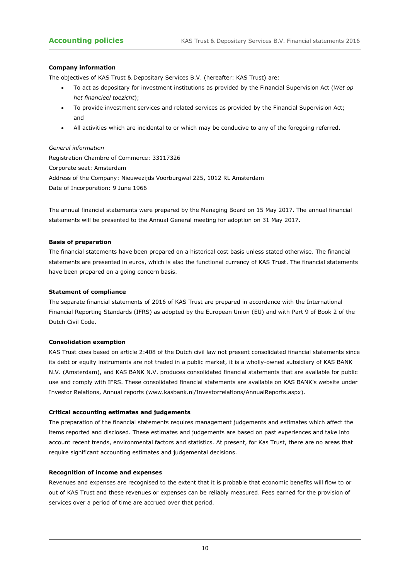#### **Company information**

The objectives of KAS Trust & Depositary Services B.V. (hereafter: KAS Trust) are:

- To act as depositary for investment institutions as provided by the Financial Supervision Act (*Wet op het financieel toezicht*);
- To provide investment services and related services as provided by the Financial Supervision Act; and
- All activities which are incidental to or which may be conducive to any of the foregoing referred.

*General information* Registration Chambre of Commerce: 33117326 Corporate seat: Amsterdam Address of the Company: Nieuwezijds Voorburgwal 225, 1012 RL Amsterdam Date of Incorporation: 9 June 1966

The annual financial statements were prepared by the Managing Board on 15 May 2017. The annual financial statements will be presented to the Annual General meeting for adoption on 31 May 2017.

#### **Basis of preparation**

The financial statements have been prepared on a historical cost basis unless stated otherwise. The financial statements are presented in euros, which is also the functional currency of KAS Trust. The financial statements have been prepared on a going concern basis.

#### **Statement of compliance**

The separate financial statements of 2016 of KAS Trust are prepared in accordance with the International Financial Reporting Standards (IFRS) as adopted by the European Union (EU) and with Part 9 of Book 2 of the Dutch Civil Code.

#### **Consolidation exemption**

KAS Trust does based on article 2:408 of the Dutch civil law not present consolidated financial statements since its debt or equity instruments are not traded in a public market, it is a wholly-owned subsidiary of KAS BANK N.V. (Amsterdam), and KAS BANK N.V. produces consolidated financial statements that are available for public use and comply with IFRS. These consolidated financial statements are available on KAS BANK's website under Investor Relations, Annual reports (www.kasbank.nl/Investorrelations/AnnualReports.aspx).

#### **Critical accounting estimates and judgements**

The preparation of the financial statements requires management judgements and estimates which affect the items reported and disclosed. These estimates and judgements are based on past experiences and take into account recent trends, environmental factors and statistics. At present, for Kas Trust, there are no areas that require significant accounting estimates and judgemental decisions.

#### **Recognition of income and expenses**

Revenues and expenses are recognised to the extent that it is probable that economic benefits will flow to or out of KAS Trust and these revenues or expenses can be reliably measured. Fees earned for the provision of services over a period of time are accrued over that period.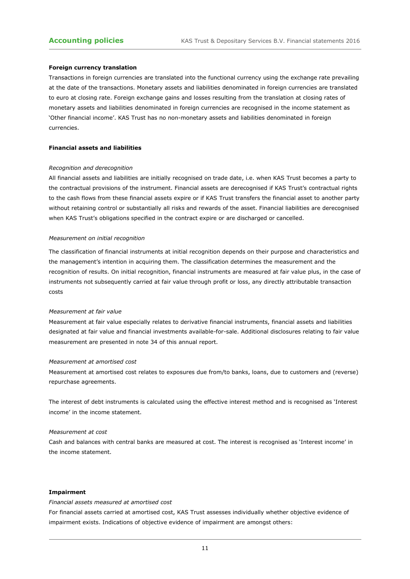#### **Foreign currency translation**

Transactions in foreign currencies are translated into the functional currency using the exchange rate prevailing at the date of the transactions. Monetary assets and liabilities denominated in foreign currencies are translated to euro at closing rate. Foreign exchange gains and losses resulting from the translation at closing rates of monetary assets and liabilities denominated in foreign currencies are recognised in the income statement as 'Other financial income'. KAS Trust has no non-monetary assets and liabilities denominated in foreign currencies.

#### **Financial assets and liabilities**

#### *Recognition and derecognition*

All financial assets and liabilities are initially recognised on trade date, i.e. when KAS Trust becomes a party to the contractual provisions of the instrument. Financial assets are derecognised if KAS Trust's contractual rights to the cash flows from these financial assets expire or if KAS Trust transfers the financial asset to another party without retaining control or substantially all risks and rewards of the asset. Financial liabilities are derecognised when KAS Trust's obligations specified in the contract expire or are discharged or cancelled.

#### *Measurement on initial recognition*

The classification of financial instruments at initial recognition depends on their purpose and characteristics and the management's intention in acquiring them. The classification determines the measurement and the recognition of results. On initial recognition, financial instruments are measured at fair value plus, in the case of instruments not subsequently carried at fair value through profit or loss, any directly attributable transaction costs

#### *Measurement at fair value*

Measurement at fair value especially relates to derivative financial instruments, financial assets and liabilities designated at fair value and financial investments available-for-sale. Additional disclosures relating to fair value measurement are presented in note 34 of this annual report.

#### *Measurement at amortised cost*

Measurement at amortised cost relates to exposures due from/to banks, loans, due to customers and (reverse) repurchase agreements.

The interest of debt instruments is calculated using the effective interest method and is recognised as 'Interest income' in the income statement.

#### *Measurement at cost*

Cash and balances with central banks are measured at cost. The interest is recognised as 'Interest income' in the income statement.

#### **Impairment**

#### *Financial assets measured at amortised cost*

For financial assets carried at amortised cost, KAS Trust assesses individually whether objective evidence of impairment exists. Indications of objective evidence of impairment are amongst others: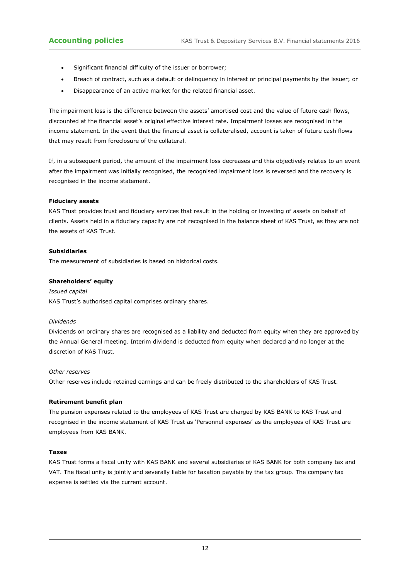- Significant financial difficulty of the issuer or borrower;
- Breach of contract, such as a default or delinquency in interest or principal payments by the issuer; or
- Disappearance of an active market for the related financial asset.

The impairment loss is the difference between the assets' amortised cost and the value of future cash flows, discounted at the financial asset's original effective interest rate. Impairment losses are recognised in the income statement. In the event that the financial asset is collateralised, account is taken of future cash flows that may result from foreclosure of the collateral.

If, in a subsequent period, the amount of the impairment loss decreases and this objectively relates to an event after the impairment was initially recognised, the recognised impairment loss is reversed and the recovery is recognised in the income statement.

#### **Fiduciary assets**

KAS Trust provides trust and fiduciary services that result in the holding or investing of assets on behalf of clients. Assets held in a fiduciary capacity are not recognised in the balance sheet of KAS Trust, as they are not the assets of KAS Trust.

#### **Subsidiaries**

The measurement of subsidiaries is based on historical costs.

#### **Shareholders' equity**

#### *Issued capital*

KAS Trust's authorised capital comprises ordinary shares.

#### *Dividends*

Dividends on ordinary shares are recognised as a liability and deducted from equity when they are approved by the Annual General meeting. Interim dividend is deducted from equity when declared and no longer at the discretion of KAS Trust.

#### *Other reserves*

Other reserves include retained earnings and can be freely distributed to the shareholders of KAS Trust.

#### **Retirement benefit plan**

The pension expenses related to the employees of KAS Trust are charged by KAS BANK to KAS Trust and recognised in the income statement of KAS Trust as 'Personnel expenses' as the employees of KAS Trust are employees from KAS BANK.

#### **Taxes**

KAS Trust forms a fiscal unity with KAS BANK and several subsidiaries of KAS BANK for both company tax and VAT. The fiscal unity is jointly and severally liable for taxation payable by the tax group. The company tax expense is settled via the current account.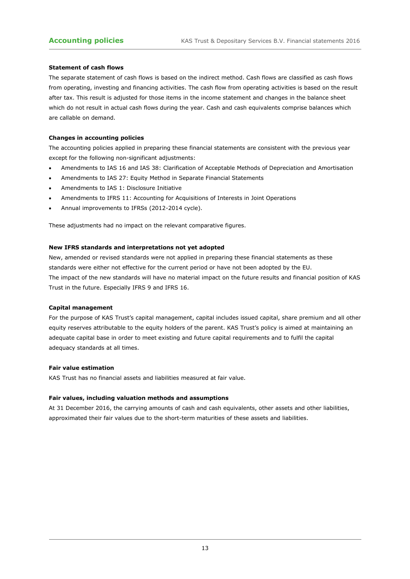#### **Statement of cash flows**

The separate statement of cash flows is based on the indirect method. Cash flows are classified as cash flows from operating, investing and financing activities. The cash flow from operating activities is based on the result after tax. This result is adjusted for those items in the income statement and changes in the balance sheet which do not result in actual cash flows during the year. Cash and cash equivalents comprise balances which are callable on demand.

#### **Changes in accounting policies**

The accounting policies applied in preparing these financial statements are consistent with the previous year except for the following non-significant adjustments:

- Amendments to IAS 16 and IAS 38: Clarification of Acceptable Methods of Depreciation and Amortisation
- Amendments to IAS 27: Equity Method in Separate Financial Statements
- Amendments to IAS 1: Disclosure Initiative
- Amendments to IFRS 11: Accounting for Acquisitions of Interests in Joint Operations
- Annual improvements to IFRSs (2012-2014 cycle).

These adjustments had no impact on the relevant comparative figures.

#### **New IFRS standards and interpretations not yet adopted**

New, amended or revised standards were not applied in preparing these financial statements as these standards were either not effective for the current period or have not been adopted by the EU. The impact of the new standards will have no material impact on the future results and financial position of KAS Trust in the future. Especially IFRS 9 and IFRS 16.

#### **Capital management**

For the purpose of KAS Trust's capital management, capital includes issued capital, share premium and all other equity reserves attributable to the equity holders of the parent. KAS Trust's policy is aimed at maintaining an adequate capital base in order to meet existing and future capital requirements and to fulfil the capital adequacy standards at all times.

#### **Fair value estimation**

KAS Trust has no financial assets and liabilities measured at fair value.

#### **Fair values, including valuation methods and assumptions**

At 31 December 2016, the carrying amounts of cash and cash equivalents, other assets and other liabilities, approximated their fair values due to the short-term maturities of these assets and liabilities.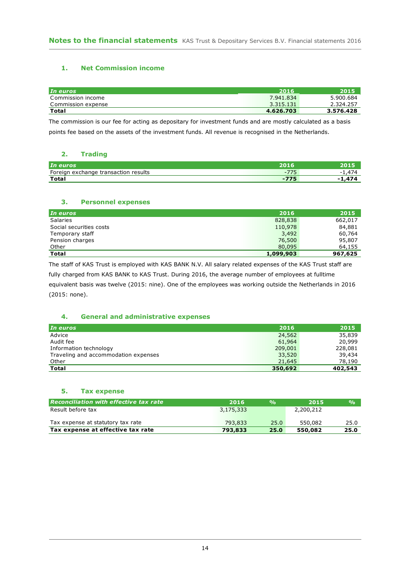### **1. Net Commission income**

| In euros           | 2016      | 2015      |
|--------------------|-----------|-----------|
| Commission income  | 7.941.834 | 5.900.684 |
| Commission expense | 3.315.131 | 2.324.257 |
| <b>Total</b>       | 4.626.703 | 3.576.428 |

The commission is our fee for acting as depositary for investment funds and are mostly calculated as a basis points fee based on the assets of the investment funds. All revenue is recognised in the Netherlands.

#### **2. Trading**

| In euros                                     | 2016            |  |
|----------------------------------------------|-----------------|--|
| Foreign<br>exchange<br>transaction results ؛ | $- -$<br>$\sim$ |  |
| <b>Total</b>                                 | $-775$          |  |

#### **3. Personnel expenses**

| In euros                | 2016      | 2015    |
|-------------------------|-----------|---------|
| <b>Salaries</b>         | 828,838   | 662,017 |
| Social securities costs | 110,978   | 84,881  |
| Temporary staff         | 3,492     | 60,764  |
| Pension charges         | 76,500    | 95,807  |
| Other                   | 80,095    | 64,155  |
| <b>Total</b>            | 1,099,903 | 967,625 |

The staff of KAS Trust is employed with KAS BANK N.V. All salary related expenses of the KAS Trust staff are fully charged from KAS BANK to KAS Trust. During 2016, the average number of employees at fulltime

equivalent basis was twelve (2015: nine). One of the employees was working outside the Netherlands in 2016 (2015: none).

#### **4. General and administrative expenses**

| In euros                             | 2016    | 2015    |
|--------------------------------------|---------|---------|
| Advice                               | 24,562  | 35,839  |
| Audit fee                            | 61,964  | 20,999  |
| Information technology               | 209,001 | 228,081 |
| Traveling and accommodation expenses | 33,520  | 39,434  |
| Other                                | 21,645  | 78,190  |
| <b>Total</b>                         | 350,692 | 402,543 |

#### **5. Tax expense**

| <b>Reconciliation with effective tax rate</b> | 2016.     | $\frac{0}{0}$ | 2015      | $\frac{0}{0}$ |
|-----------------------------------------------|-----------|---------------|-----------|---------------|
| Result before tax                             | 3,175,333 |               | 2,200,212 |               |
| Tax expense at statutory tax rate             | 793,833   | 25.0          | 550,082   | 25.0          |
| Tax expense at effective tax rate             | 793,833   | 25.0          | 550,082   | 25.0          |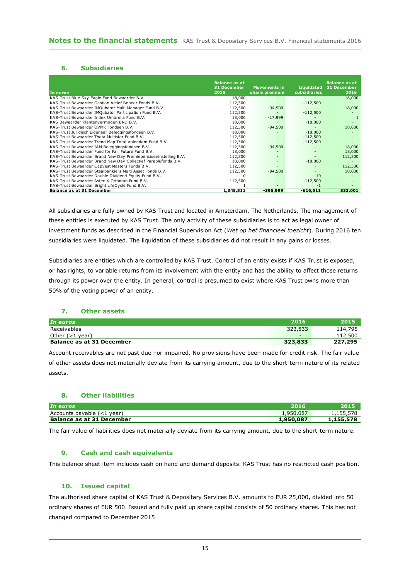#### **6. Subsidiaries**

| In euros                                                        | <b>Balance as at</b><br>31 December<br>2015 | <b>Movements in</b><br>share premium | Liquidated<br><b>subsidiaries</b> | <b>Balance as at</b><br>31 December<br>2016 |
|-----------------------------------------------------------------|---------------------------------------------|--------------------------------------|-----------------------------------|---------------------------------------------|
| KAS-Trust Blue Sky Eagle Fund Bewaarder B.V.                    | 18,000                                      |                                      |                                   | 18,000                                      |
| KAS-Trust Bewaarder Gestion Actief Beheer Fonds B.V.            | 112,500                                     | $\overline{\phantom{a}}$             | $-112,500$                        |                                             |
| KAS-Trust Bewaarder IMQubator Multi Manager Fund B.V.           | 112,500                                     | $-94,500$                            |                                   | 18,000                                      |
| KAS-Trust Bewaarder IMQubator Participation Fund B.V.           | 112,500                                     |                                      | $-112,500$                        |                                             |
| KAS-Trust Bewaarder Index Umbrella Fund B.V.                    | 18,000                                      | $-17,999$                            |                                   |                                             |
| KAS Bewaarder Klantenvermogen BND B.V.                          | 18,000                                      |                                      | $-18,000$                         |                                             |
| KAS-Trust Bewaarder OVMK Fondsen B.V.                           | 112,500                                     | $-94,500$                            |                                   | 18,000                                      |
| KAS-Trust Juridisch Eigenaar Beleggingsfondsen B.V.             | 18,000                                      |                                      | $-18,000$                         |                                             |
| KAS-Trust Bewaarder Theta Multistar Fund B.V.                   | 112,500                                     |                                      | $-112,500$                        |                                             |
| KAS-Trust Bewaarder Trend Map Total Volendam Fund B.V.          | 112,500                                     |                                      | $-112.500$                        |                                             |
| KAS-Trust Bewaarder IAM Beleggingsfondsen B.V.                  | 112,500                                     | $-94,500$                            |                                   | 18,000                                      |
| KAS-Trust Bewaarder Fund for Fair Future Fund B.V.              | 18,000                                      |                                      |                                   | 18,000                                      |
| KAS-Trust Bewaarder Brand New Day Premiepensioeninstelling B.V. | 112,500                                     |                                      |                                   | 112,500                                     |
| KAS-Trust Bewaarder Brand New Day Collectief Paraplufonds B.V.  | 18,000                                      |                                      | $-18,000$                         |                                             |
| KAS-Trust Bewaarder Capvest Masters Funds B.V.                  | 112,500                                     |                                      |                                   | 112,500                                     |
| KAS-Trust Bewaarder Staalbankiers Multi Asset Fonds B.V.        | 112,500                                     | $-94,500$                            |                                   | 18,000                                      |
| KAS-Trust Bewaarder Double Dividend Equity Fund B.V.            | 10                                          |                                      | $-10$                             |                                             |
| KAS-Trust Bewaarder Aster-X Ottoman Fund B.V.                   | 112,500                                     |                                      | $-112,500$                        |                                             |
| KAS-Trust Bewaarder Bright LifeCycle Fund B.V.                  |                                             |                                      | -1                                |                                             |
| <b>Balance as at 31 December</b>                                | 1,345,511                                   | $-395,999$                           | $-616,511$                        | 333,001                                     |

All subsidiaries are fully owned by KAS Trust and located in Amsterdam, The Netherlands. The management of these entities is executed by KAS Trust. The only activity of these subsidiaries is to act as legal owner of investment funds as described in the Financial Supervision Act (*Wet op het financieel toezicht*). During 2016 ten subsidiaries were liquidated. The liquidation of these subsidiaries did not result in any gains or losses.

Subsidiaries are entities which are controlled by KAS Trust. Control of an entity exists if KAS Trust is exposed, or has rights, to variable returns from its involvement with the entity and has the ability to affect those returns through its power over the entity. In general, control is presumed to exist where KAS Trust owns more than 50% of the voting power of an entity.

#### **7. Other assets**

| In euros                         | 2016                     | 2015    |
|----------------------------------|--------------------------|---------|
| Receivables                      | 323,833                  | 114,795 |
| Other $(>1$ year)                | $\overline{\phantom{0}}$ | 112,500 |
| <b>Balance as at 31 December</b> | 323,833                  | 227,295 |

Account receivables are not past due nor impaired. No provisions have been made for credit risk. The fair value of other assets does not materially deviate from its carrying amount, due to the short-term nature of its related assets.

#### **8. Other liabilities**

| In euros                         | 2016      |           |
|----------------------------------|-----------|-----------|
| Accounts payable (<1 year)       | 1,950,087 | 1,155,578 |
| <b>Balance as at 31 December</b> | 1,950,087 | 1,155,578 |

The fair value of liabilities does not materially deviate from its carrying amount, due to the short-term nature.

#### **9. Cash and cash equivalents**

This balance sheet item includes cash on hand and demand deposits. KAS Trust has no restricted cash position.

#### **10. Issued capital**

The authorised share capital of KAS Trust & Depositary Services B.V. amounts to EUR 25,000, divided into 50 ordinary shares of EUR 500. Issued and fully paid up share capital consists of 50 ordinary shares. This has not changed compared to December 2015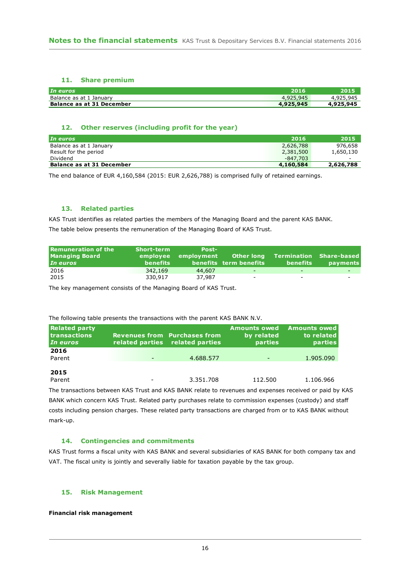#### **11. Share premium**

| In euros                  | 2016      |           |
|---------------------------|-----------|-----------|
| Balance as at 1 January   | 4,925,945 | 4,925,945 |
| Balance as at 31 December | 4,925,945 | 4,925,945 |

#### **12. Other reserves (including profit for the year)**

| In euros                         | 2016      | 2015      |
|----------------------------------|-----------|-----------|
| Balance as at 1 January          | 2,626,788 | 976,658   |
| Result for the period            | 2,381,500 | 1,650,130 |
| Dividend                         | -847.703  |           |
| <b>Balance as at 31 December</b> | 4,160,584 | 2,626,788 |

The end balance of EUR 4,160,584 (2015: EUR 2,626,788) is comprised fully of retained earnings.

#### **13. Related parties**

KAS Trust identifies as related parties the members of the Managing Board and the parent KAS BANK. The table below presents the remuneration of the Managing Board of KAS Trust.

| Remuneration of the<br><b>Managing Board</b><br>In euros | Short-term<br>benefits | <b>Post-</b> | employee employment Otherlong<br>benefits term benefits | benefits                 | Termination Share-based<br><b>payments</b> |
|----------------------------------------------------------|------------------------|--------------|---------------------------------------------------------|--------------------------|--------------------------------------------|
| 2016                                                     | 342,169                | 44,607       | -                                                       | $\overline{\phantom{0}}$ |                                            |
| 2015                                                     | 330,917                | 37,987       | $\overline{\phantom{0}}$                                | $\overline{\phantom{a}}$ |                                            |

The key management consists of the Managing Board of KAS Trust.

#### The following table presents the transactions with the parent KAS BANK N.V.

| <b>Related party</b><br><b>Itransactions</b><br>In euros | <b>Revenues from Purchases from</b><br>related parties related parties | <b>Amounts owed</b><br>by related<br><b>parties</b> | <b>Amounts owed</b><br>to related<br>parties |
|----------------------------------------------------------|------------------------------------------------------------------------|-----------------------------------------------------|----------------------------------------------|
| 2016<br>Parent                                           | 4.688.577                                                              | -                                                   | 1.905.090                                    |
| 2015<br>Parent                                           | 3.351.708                                                              | 112.500                                             | 1.106.966                                    |

The transactions between KAS Trust and KAS BANK relate to revenues and expenses received or paid by KAS BANK which concern KAS Trust. Related party purchases relate to commission expenses (custody) and staff costs including pension charges. These related party transactions are charged from or to KAS BANK without mark-up.

#### **14. Contingencies and commitments**

KAS Trust forms a fiscal unity with KAS BANK and several subsidiaries of KAS BANK for both company tax and VAT. The fiscal unity is jointly and severally liable for taxation payable by the tax group.

#### **15. Risk Management**

#### **Financial risk management**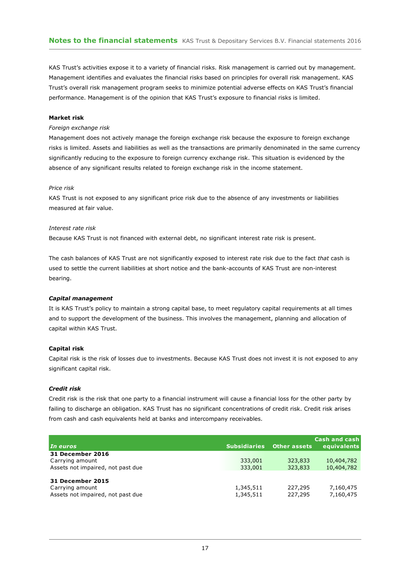KAS Trust's activities expose it to a variety of financial risks. Risk management is carried out by management. Management identifies and evaluates the financial risks based on principles for overall risk management. KAS Trust's overall risk management program seeks to minimize potential adverse effects on KAS Trust's financial performance. Management is of the opinion that KAS Trust's exposure to financial risks is limited.

#### **Market risk**

#### *Foreign exchange risk*

Management does not actively manage the foreign exchange risk because the exposure to foreign exchange risks is limited. Assets and liabilities as well as the transactions are primarily denominated in the same currency significantly reducing to the exposure to foreign currency exchange risk. This situation is evidenced by the absence of any significant results related to foreign exchange risk in the income statement.

#### *Price risk*

KAS Trust is not exposed to any significant price risk due to the absence of any investments or liabilities measured at fair value.

#### *Interest rate risk*

Because KAS Trust is not financed with external debt, no significant interest rate risk is present.

The cash balances of KAS Trust are not significantly exposed to interest rate risk due to the fact *that* cash is used to settle the current liabilities at short notice and the bank-accounts of KAS Trust are non-interest bearing.

#### *Capital management*

It is KAS Trust's policy to maintain a strong capital base, to meet regulatory capital requirements at all times and to support the development of the business. This involves the management, planning and allocation of capital within KAS Trust.

#### **Capital risk**

Capital risk is the risk of losses due to investments. Because KAS Trust does not invest it is not exposed to any significant capital risk.

#### *Credit risk*

Credit risk is the risk that one party to a financial instrument will cause a financial loss for the other party by failing to discharge an obligation. KAS Trust has no significant concentrations of credit risk. Credit risk arises from cash and cash equivalents held at banks and intercompany receivables.

|                                                                                 |                        |                     | <b>Cash and cash</b>   |
|---------------------------------------------------------------------------------|------------------------|---------------------|------------------------|
| In euros                                                                        | <b>Subsidiaries</b>    | <b>Other assets</b> | equivalents            |
| 31 December 2016                                                                |                        |                     |                        |
| Carrying amount                                                                 | 333,001                | 323,833             | 10,404,782             |
| Assets not impaired, not past due                                               | 333,001                | 323,833             | 10,404,782             |
| <b>31 December 2015</b><br>Carrying amount<br>Assets not impaired, not past due | 1,345,511<br>1,345,511 | 227,295<br>227,295  | 7,160,475<br>7,160,475 |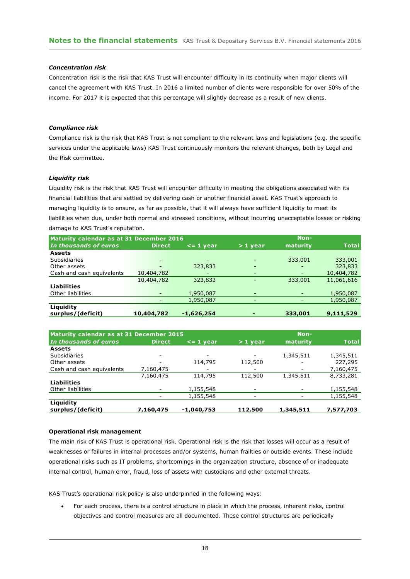#### *Concentration risk*

Concentration risk is the risk that KAS Trust will encounter difficulty in its continuity when major clients will cancel the agreement with KAS Trust. In 2016 a limited number of clients were responsible for over 50% of the income. For 2017 it is expected that this percentage will slightly decrease as a result of new clients.

#### *Compliance risk*

Compliance risk is the risk that KAS Trust is not compliant to the relevant laws and legislations (e.g. the specific services under the applicable laws) KAS Trust continuously monitors the relevant changes, both by Legal and the Risk committee.

#### *Liquidity risk*

Liquidity risk is the risk that KAS Trust will encounter difficulty in meeting the obligations associated with its financial liabilities that are settled by delivering cash or another financial asset. KAS Trust's approach to managing liquidity is to ensure, as far as possible, that it will always have sufficient liquidity to meet its liabilities when due, under both normal and stressed conditions, without incurring unacceptable losses or risking damage to KAS Trust's reputation.

| Maturity calendar as at 31 December 2016 |                          |               |                          | Non-            |              |
|------------------------------------------|--------------------------|---------------|--------------------------|-----------------|--------------|
| In thousands of euros                    | <b>Direct</b>            | $\leq$ 1 year | $>1$ year                | maturity        | <b>Total</b> |
| <b>Assets</b>                            |                          |               |                          |                 |              |
| <b>Subsidiaries</b>                      |                          |               |                          | 333,001         | 333,001      |
| Other assets                             |                          | 323,833       |                          |                 | 323,833      |
| Cash and cash equivalents                | 10,404,782               |               |                          | $\qquad \qquad$ | 10,404,782   |
|                                          | 10,404,782               | 323,833       |                          | 333,001         | 11,061,616   |
| <b>Liabilities</b>                       |                          |               |                          |                 |              |
| Other liabilities                        | $\overline{\phantom{0}}$ | 1,950,087     | $\overline{\phantom{0}}$ |                 | 1,950,087    |
|                                          |                          | 1,950,087     |                          |                 | 1,950,087    |
| Liquidity                                |                          |               |                          |                 |              |
| surplus/(deficit)                        | 10,404,782               | $-1,626,254$  |                          | 333,001         | 9,111,529    |
|                                          |                          |               |                          |                 |              |

| Maturity calendar as at 31 December 2015 |                          |                 |                          | Non-      |              |
|------------------------------------------|--------------------------|-----------------|--------------------------|-----------|--------------|
| In thousands of euros                    | <b>Direct</b>            | $\leq$ = 1 year | $>1$ year                | maturity  | <b>Total</b> |
| <b>Assets</b>                            |                          |                 |                          |           |              |
| Subsidiaries                             | $\overline{\phantom{a}}$ |                 |                          | 1,345,511 | 1,345,511    |
| Other assets                             |                          | 114,795         | 112,500                  |           | 227,295      |
| Cash and cash equivalents                | 7,160,475                |                 |                          |           | 7,160,475    |
|                                          | 7,160,475                | 114,795         | 112,500                  | 1,345,511 | 8,733,281    |
| <b>Liabilities</b>                       |                          |                 |                          |           |              |
| Other liabilities                        |                          | 1,155,548       |                          |           | 1,155,548    |
|                                          |                          | 1,155,548       | $\overline{\phantom{0}}$ |           | 1,155,548    |
| Liquidity                                |                          |                 |                          |           |              |
| surplus/(deficit)                        | 7,160,475                | $-1,040,753$    | 112,500                  | 1,345,511 | 7,577,703    |

#### **Operational risk management**

The main risk of KAS Trust is operational risk. Operational risk is the risk that losses will occur as a result of weaknesses or failures in internal processes and/or systems, human frailties or outside events. These include operational risks such as IT problems, shortcomings in the organization structure, absence of or inadequate internal control, human error, fraud, loss of assets with custodians and other external threats.

KAS Trust's operational risk policy is also underpinned in the following ways:

 For each process, there is a control structure in place in which the process, inherent risks, control objectives and control measures are all documented. These control structures are periodically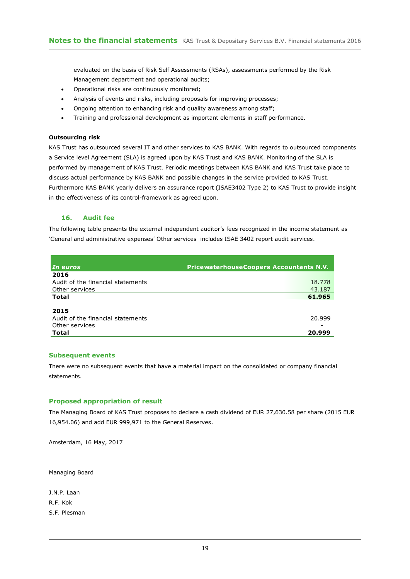evaluated on the basis of Risk Self Assessments (RSAs), assessments performed by the Risk Management department and operational audits;

- Operational risks are continuously monitored;
- Analysis of events and risks, including proposals for improving processes;
- Ongoing attention to enhancing risk and quality awareness among staff;
- Training and professional development as important elements in staff performance.

#### **Outsourcing risk**

KAS Trust has outsourced several IT and other services to KAS BANK. With regards to outsourced components a Service level Agreement (SLA) is agreed upon by KAS Trust and KAS BANK. Monitoring of the SLA is performed by management of KAS Trust. Periodic meetings between KAS BANK and KAS Trust take place to discuss actual performance by KAS BANK and possible changes in the service provided to KAS Trust. Furthermore KAS BANK yearly delivers an assurance report (ISAE3402 Type 2) to KAS Trust to provide insight in the effectiveness of its control-framework as agreed upon.

#### **16. Audit fee**

The following table presents the external independent auditor's fees recognized in the income statement as 'General and administrative expenses' Other services includes ISAE 3402 report audit services.

| In euros                          | <b>PricewaterhouseCoopers Accountants N.V.</b> |
|-----------------------------------|------------------------------------------------|
| 2016                              |                                                |
| Audit of the financial statements | 18.778                                         |
| Other services                    | 43.187                                         |
| Total                             | 61.965                                         |
|                                   |                                                |
| 2015                              |                                                |
| Audit of the financial statements | 20.999                                         |
| Other services                    |                                                |
| Total                             | 20.999                                         |

#### **Subsequent events**

There were no subsequent events that have a material impact on the consolidated or company financial statements.

#### **Proposed appropriation of result**

The Managing Board of KAS Trust proposes to declare a cash dividend of EUR 27,630.58 per share (2015 EUR 16,954.06) and add EUR 999,971 to the General Reserves.

Amsterdam, 16 May, 2017

Managing Board

J.N.P. Laan R.F. Kok S.F. Plesman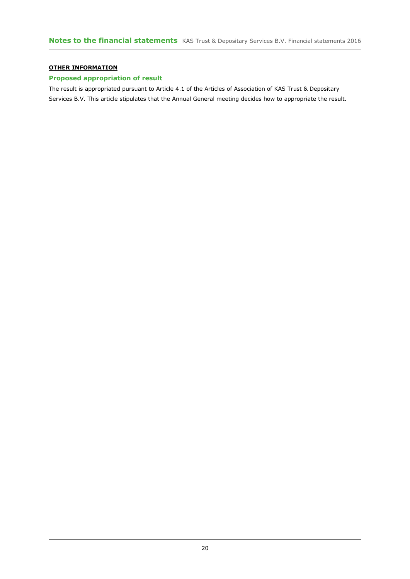#### **OTHER INFORMATION**

### **Proposed appropriation of result**

The result is appropriated pursuant to Article 4.1 of the Articles of Association of KAS Trust & Depositary Services B.V. This article stipulates that the Annual General meeting decides how to appropriate the result.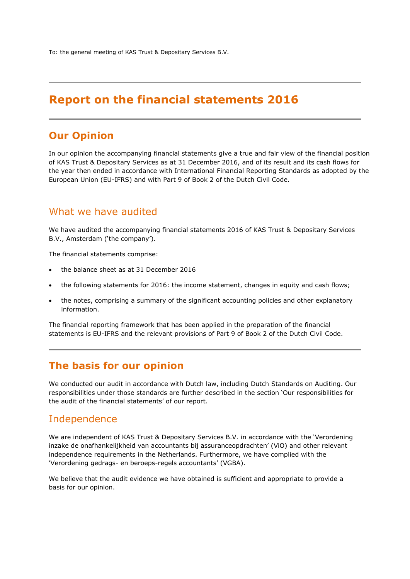To: the general meeting of KAS Trust & Depositary Services B.V.

# **Report on the financial statements 2016**

# **Our Opinion**

In our opinion the accompanying financial statements give a true and fair view of the financial position of KAS Trust & Depositary Services as at 31 December 2016, and of its result and its cash flows for the year then ended in accordance with International Financial Reporting Standards as adopted by the European Union (EU-IFRS) and with Part 9 of Book 2 of the Dutch Civil Code.

# What we have audited

We have audited the accompanying financial statements 2016 of KAS Trust & Depositary Services B.V., Amsterdam ('the company').

The financial statements comprise:

- the balance sheet as at 31 December 2016
- the following statements for 2016: the income statement, changes in equity and cash flows;
- the notes, comprising a summary of the significant accounting policies and other explanatory information.

The financial reporting framework that has been applied in the preparation of the financial statements is EU-IFRS and the relevant provisions of Part 9 of Book 2 of the Dutch Civil Code.

# **The basis for our opinion**

We conducted our audit in accordance with Dutch law, including Dutch Standards on Auditing. Our responsibilities under those standards are further described in the section 'Our responsibilities for the audit of the financial statements' of our report.

# Independence

We are independent of KAS Trust & Depositary Services B.V. in accordance with the 'Verordening inzake de onafhankelijkheid van accountants bij assuranceopdrachten' (ViO) and other relevant independence requirements in the Netherlands. Furthermore, we have complied with the 'Verordening gedrags- en beroeps-regels accountants' (VGBA).

We believe that the audit evidence we have obtained is sufficient and appropriate to provide a basis for our opinion.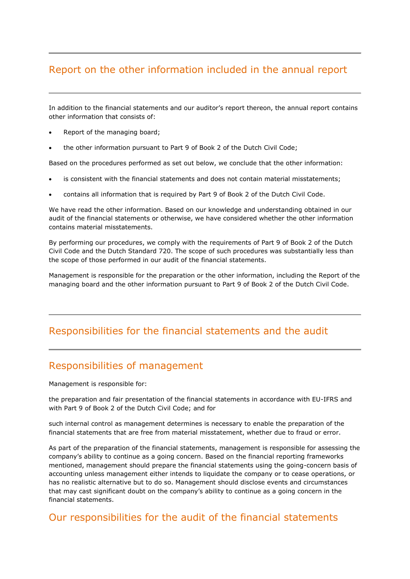# Report on the other information included in the annual report

In addition to the financial statements and our auditor's report thereon, the annual report contains other information that consists of:

- Report of the managing board;
- the other information pursuant to Part 9 of Book 2 of the Dutch Civil Code;

Based on the procedures performed as set out below, we conclude that the other information:

- is consistent with the financial statements and does not contain material misstatements;
- contains all information that is required by Part 9 of Book 2 of the Dutch Civil Code.

We have read the other information. Based on our knowledge and understanding obtained in our audit of the financial statements or otherwise, we have considered whether the other information contains material misstatements.

By performing our procedures, we comply with the requirements of Part 9 of Book 2 of the Dutch Civil Code and the Dutch Standard 720. The scope of such procedures was substantially less than the scope of those performed in our audit of the financial statements.

Management is responsible for the preparation or the other information, including the Report of the managing board and the other information pursuant to Part 9 of Book 2 of the Dutch Civil Code.

# Responsibilities for the financial statements and the audit

# Responsibilities of management

Management is responsible for:

the preparation and fair presentation of the financial statements in accordance with EU-IFRS and with Part 9 of Book 2 of the Dutch Civil Code; and for

such internal control as management determines is necessary to enable the preparation of the financial statements that are free from material misstatement, whether due to fraud or error.

As part of the preparation of the financial statements, management is responsible for assessing the company's ability to continue as a going concern. Based on the financial reporting frameworks mentioned, management should prepare the financial statements using the going-concern basis of accounting unless management either intends to liquidate the company or to cease operations, or has no realistic alternative but to do so. Management should disclose events and circumstances that may cast significant doubt on the company's ability to continue as a going concern in the financial statements.

## Our responsibilities for the audit of the financial statements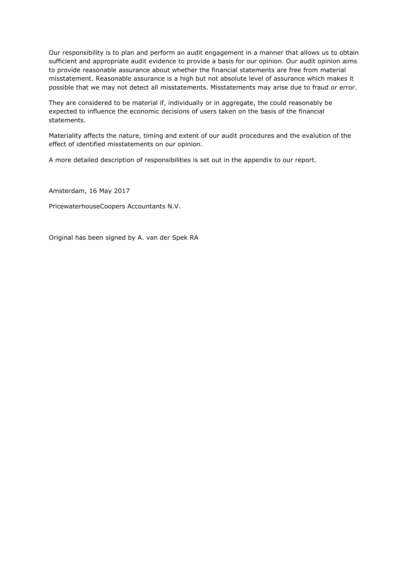Our responsibility is to plan and perform an audit engagement in a manner that allows us to obtain sufficient and appropriate audit evidence to provide a basis for our opinion. Our audit opinion aims to provide reasonable assurance about whether the financial statements are free from material misstatement. Reasonable assurance is a high but not absolute level of assurance which makes it possible that we may not detect all misstatements. Misstatements may arise due to fraud or error.

They are considered to be material if, individually or in aggregate, the could reasonably be expected to influence the economic decisions of users taken on the basis of the financial statements.

Materiality affects the nature, timing and extent of our audit procedures and the evalution of the effect of identified misstatements on our opinion.

A more detailed description of responsibilities is set out in the appendix to our report.

Amsterdam, 16 May 2017

PricewaterhouseCoopers Accountants N.V.

Original has been signed by A. van der Spek RA